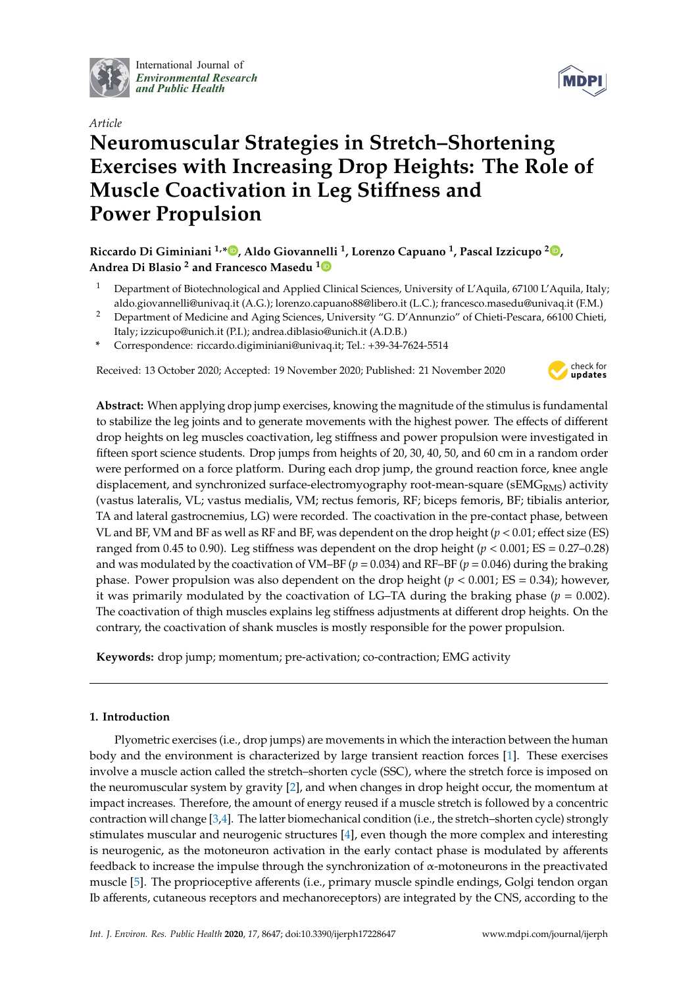

International Journal of *[Environmental Research](http://www.mdpi.com/journal/ijerph) and Public Health*



# *Article* **Neuromuscular Strategies in Stretch–Shortening Exercises with Increasing Drop Heights: The Role of Muscle Coactivation in Leg Sti**ff**ness and Power Propulsion**

# **Riccardo Di Giminiani 1,[\\*](https://orcid.org/0000-0003-3574-3114) , Aldo Giovannelli <sup>1</sup> , Lorenzo Capuano <sup>1</sup> , Pascal Izzicupo <sup>2</sup> [,](https://orcid.org/0000-0001-6944-8995) Andrea Di Blasio <sup>2</sup> and Francesco Masedu [1](https://orcid.org/0000-0003-0290-5324)**

- <sup>1</sup> Department of Biotechnological and Applied Clinical Sciences, University of L'Aquila, 67100 L'Aquila, Italy; aldo.giovannelli@univaq.it (A.G.); lorenzo.capuano88@libero.it (L.C.); francesco.masedu@univaq.it (F.M.)
- <sup>2</sup> Department of Medicine and Aging Sciences, University "G. D'Annunzio" of Chieti-Pescara, 66100 Chieti, Italy; izzicupo@unich.it (P.I.); andrea.diblasio@unich.it (A.D.B.)
- **\*** Correspondence: riccardo.digiminiani@univaq.it; Tel.: +39-34-7624-5514

Received: 13 October 2020; Accepted: 19 November 2020; Published: 21 November 2020



**Abstract:** When applying drop jump exercises, knowing the magnitude of the stimulus is fundamental to stabilize the leg joints and to generate movements with the highest power. The effects of different drop heights on leg muscles coactivation, leg stiffness and power propulsion were investigated in fifteen sport science students. Drop jumps from heights of 20, 30, 40, 50, and 60 cm in a random order were performed on a force platform. During each drop jump, the ground reaction force, knee angle displacement, and synchronized surface-electromyography root-mean-square ( $sEMG<sub>RMS</sub>$ ) activity (vastus lateralis, VL; vastus medialis, VM; rectus femoris, RF; biceps femoris, BF; tibialis anterior, TA and lateral gastrocnemius, LG) were recorded. The coactivation in the pre-contact phase, between VL and BF, VM and BF as well as RF and BF, was dependent on the drop height (*p* < 0.01; effect size (ES) ranged from 0.45 to 0.90). Leg stiffness was dependent on the drop height ( $p < 0.001$ ; ES = 0.27–0.28) and was modulated by the coactivation of VM–BF ( $p = 0.034$ ) and RF–BF ( $p = 0.046$ ) during the braking phase. Power propulsion was also dependent on the drop height ( $p < 0.001$ ; ES = 0.34); however, it was primarily modulated by the coactivation of LG–TA during the braking phase ( $p = 0.002$ ). The coactivation of thigh muscles explains leg stiffness adjustments at different drop heights. On the contrary, the coactivation of shank muscles is mostly responsible for the power propulsion.

**Keywords:** drop jump; momentum; pre-activation; co-contraction; EMG activity

## **1. Introduction**

Plyometric exercises (i.e., drop jumps) are movements in which the interaction between the human body and the environment is characterized by large transient reaction forces [\[1\]](#page-11-0). These exercises involve a muscle action called the stretch–shorten cycle (SSC), where the stretch force is imposed on the neuromuscular system by gravity [\[2\]](#page-11-1), and when changes in drop height occur, the momentum at impact increases. Therefore, the amount of energy reused if a muscle stretch is followed by a concentric contraction will change [\[3](#page-11-2)[,4\]](#page-11-3). The latter biomechanical condition (i.e., the stretch–shorten cycle) strongly stimulates muscular and neurogenic structures [\[4\]](#page-11-3), even though the more complex and interesting is neurogenic, as the motoneuron activation in the early contact phase is modulated by afferents feedback to increase the impulse through the synchronization of α-motoneurons in the preactivated muscle [\[5\]](#page-11-4). The proprioceptive afferents (i.e., primary muscle spindle endings, Golgi tendon organ Ib afferents, cutaneous receptors and mechanoreceptors) are integrated by the CNS, according to the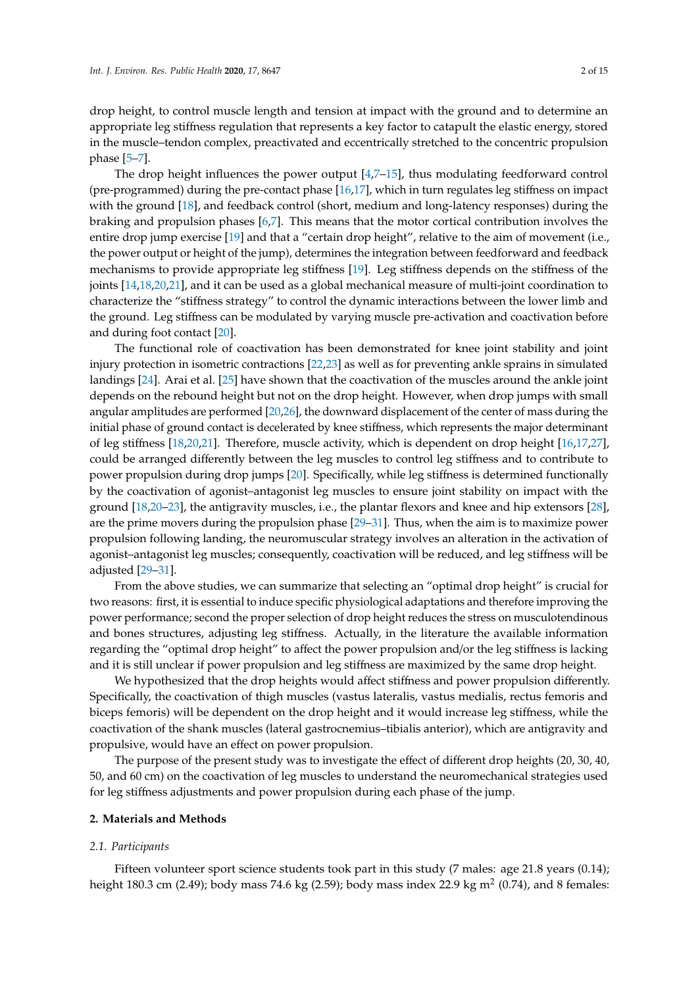drop height, to control muscle length and tension at impact with the ground and to determine an appropriate leg stiffness regulation that represents a key factor to catapult the elastic energy, stored in the muscle–tendon complex, preactivated and eccentrically stretched to the concentric propulsion phase [\[5–](#page-11-4)[7\]](#page-11-5).

The drop height influences the power output [\[4,](#page-11-3)[7](#page-11-5)[–15\]](#page-12-0), thus modulating feedforward control (pre-programmed) during the pre-contact phase [\[16](#page-12-1)[,17\]](#page-12-2), which in turn regulates leg stiffness on impact with the ground [\[18\]](#page-12-3), and feedback control (short, medium and long-latency responses) during the braking and propulsion phases [\[6,](#page-11-6)[7\]](#page-11-5). This means that the motor cortical contribution involves the entire drop jump exercise [\[19\]](#page-12-4) and that a "certain drop height", relative to the aim of movement (i.e., the power output or height of the jump), determines the integration between feedforward and feedback mechanisms to provide appropriate leg stiffness [\[19\]](#page-12-4). Leg stiffness depends on the stiffness of the joints [\[14,](#page-12-5)[18,](#page-12-3)[20,](#page-12-6)[21\]](#page-12-7), and it can be used as a global mechanical measure of multi-joint coordination to characterize the "stiffness strategy" to control the dynamic interactions between the lower limb and the ground. Leg stiffness can be modulated by varying muscle pre-activation and coactivation before and during foot contact [\[20\]](#page-12-6).

The functional role of coactivation has been demonstrated for knee joint stability and joint injury protection in isometric contractions [\[22,](#page-12-8)[23\]](#page-12-9) as well as for preventing ankle sprains in simulated landings [\[24\]](#page-12-10). Arai et al. [\[25\]](#page-12-11) have shown that the coactivation of the muscles around the ankle joint depends on the rebound height but not on the drop height. However, when drop jumps with small angular amplitudes are performed [\[20](#page-12-6)[,26\]](#page-12-12), the downward displacement of the center of mass during the initial phase of ground contact is decelerated by knee stiffness, which represents the major determinant of leg stiffness [\[18](#page-12-3)[,20](#page-12-6)[,21\]](#page-12-7). Therefore, muscle activity, which is dependent on drop height [\[16,](#page-12-1)[17,](#page-12-2)[27\]](#page-12-13), could be arranged differently between the leg muscles to control leg stiffness and to contribute to power propulsion during drop jumps [\[20\]](#page-12-6). Specifically, while leg stiffness is determined functionally by the coactivation of agonist–antagonist leg muscles to ensure joint stability on impact with the ground [\[18](#page-12-3)[,20](#page-12-6)[–23\]](#page-12-9), the antigravity muscles, i.e., the plantar flexors and knee and hip extensors [\[28\]](#page-12-14), are the prime movers during the propulsion phase [\[29](#page-12-15)[–31\]](#page-12-16). Thus, when the aim is to maximize power propulsion following landing, the neuromuscular strategy involves an alteration in the activation of agonist–antagonist leg muscles; consequently, coactivation will be reduced, and leg stiffness will be adjusted [\[29](#page-12-15)[–31\]](#page-12-16).

From the above studies, we can summarize that selecting an "optimal drop height" is crucial for two reasons: first, it is essential to induce specific physiological adaptations and therefore improving the power performance; second the proper selection of drop height reduces the stress on musculotendinous and bones structures, adjusting leg stiffness. Actually, in the literature the available information regarding the "optimal drop height" to affect the power propulsion and/or the leg stiffness is lacking and it is still unclear if power propulsion and leg stiffness are maximized by the same drop height.

We hypothesized that the drop heights would affect stiffness and power propulsion differently. Specifically, the coactivation of thigh muscles (vastus lateralis, vastus medialis, rectus femoris and biceps femoris) will be dependent on the drop height and it would increase leg stiffness, while the coactivation of the shank muscles (lateral gastrocnemius–tibialis anterior), which are antigravity and propulsive, would have an effect on power propulsion.

The purpose of the present study was to investigate the effect of different drop heights (20, 30, 40, 50, and 60 cm) on the coactivation of leg muscles to understand the neuromechanical strategies used for leg stiffness adjustments and power propulsion during each phase of the jump.

#### **2. Materials and Methods**

#### *2.1. Participants*

Fifteen volunteer sport science students took part in this study (7 males: age 21.8 years (0.14); height 180.3 cm (2.49); body mass 74.6 kg (2.59); body mass index 22.9 kg m $^2$  (0.74), and 8 females: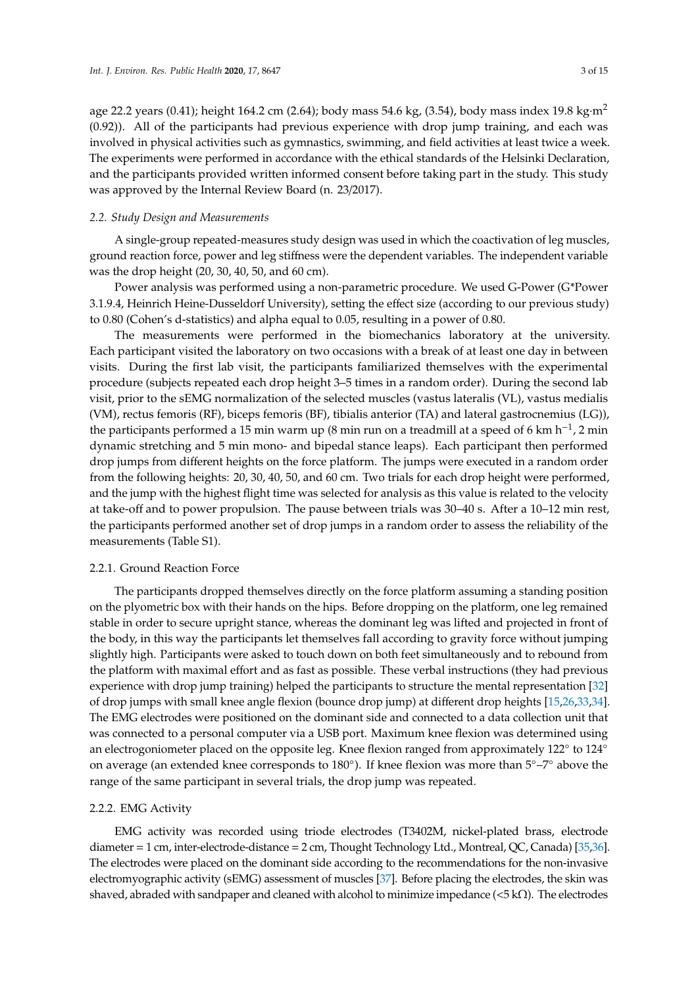age 22.2 years (0.41); height 164.2 cm (2.64); body mass 54.6 kg, (3.54), body mass index 19.8 kg·m<sup>2</sup> (0.92)). All of the participants had previous experience with drop jump training, and each was involved in physical activities such as gymnastics, swimming, and field activities at least twice a week. The experiments were performed in accordance with the ethical standards of the Helsinki Declaration, and the participants provided written informed consent before taking part in the study. This study was approved by the Internal Review Board (n. 23/2017).

#### *2.2. Study Design and Measurements*

A single-group repeated-measures study design was used in which the coactivation of leg muscles, ground reaction force, power and leg stiffness were the dependent variables. The independent variable was the drop height (20, 30, 40, 50, and 60 cm).

Power analysis was performed using a non-parametric procedure. We used G-Power (G\*Power 3.1.9.4, Heinrich Heine-Dusseldorf University), setting the effect size (according to our previous study) to 0.80 (Cohen's d-statistics) and alpha equal to 0.05, resulting in a power of 0.80.

The measurements were performed in the biomechanics laboratory at the university. Each participant visited the laboratory on two occasions with a break of at least one day in between visits. During the first lab visit, the participants familiarized themselves with the experimental procedure (subjects repeated each drop height 3–5 times in a random order). During the second lab visit, prior to the sEMG normalization of the selected muscles (vastus lateralis (VL), vastus medialis (VM), rectus femoris (RF), biceps femoris (BF), tibialis anterior (TA) and lateral gastrocnemius (LG)), the participants performed a 15 min warm up (8 min run on a treadmill at a speed of 6 km h−<sup>1</sup> , 2 min dynamic stretching and 5 min mono- and bipedal stance leaps). Each participant then performed drop jumps from different heights on the force platform. The jumps were executed in a random order from the following heights: 20, 30, 40, 50, and 60 cm. Two trials for each drop height were performed, and the jump with the highest flight time was selected for analysis as this value is related to the velocity at take-off and to power propulsion. The pause between trials was 30–40 s. After a 10–12 min rest, the participants performed another set of drop jumps in a random order to assess the reliability of the measurements (Table S1).

#### 2.2.1. Ground Reaction Force

The participants dropped themselves directly on the force platform assuming a standing position on the plyometric box with their hands on the hips. Before dropping on the platform, one leg remained stable in order to secure upright stance, whereas the dominant leg was lifted and projected in front of the body, in this way the participants let themselves fall according to gravity force without jumping slightly high. Participants were asked to touch down on both feet simultaneously and to rebound from the platform with maximal effort and as fast as possible. These verbal instructions (they had previous experience with drop jump training) helped the participants to structure the mental representation [\[32\]](#page-12-17) of drop jumps with small knee angle flexion (bounce drop jump) at different drop heights [\[15,](#page-12-0)[26](#page-12-12)[,33](#page-13-0)[,34\]](#page-13-1). The EMG electrodes were positioned on the dominant side and connected to a data collection unit that was connected to a personal computer via a USB port. Maximum knee flexion was determined using an electrogoniometer placed on the opposite leg. Knee flexion ranged from approximately 122° to 124° on average (an extended knee corresponds to 180◦ ). If knee flexion was more than 5◦–7◦ above the range of the same participant in several trials, the drop jump was repeated.

#### 2.2.2. EMG Activity

EMG activity was recorded using triode electrodes (T3402M, nickel-plated brass, electrode diameter = 1 cm, inter-electrode-distance = 2 cm, Thought Technology Ltd., Montreal, QC, Canada) [\[35](#page-13-2)[,36\]](#page-13-3). The electrodes were placed on the dominant side according to the recommendations for the non-invasive electromyographic activity (sEMG) assessment of muscles [\[37\]](#page-13-4). Before placing the electrodes, the skin was shaved, abraded with sandpaper and cleaned with alcohol to minimize impedance ( $\langle 5 \, \text{k}\Omega$ ). The electrodes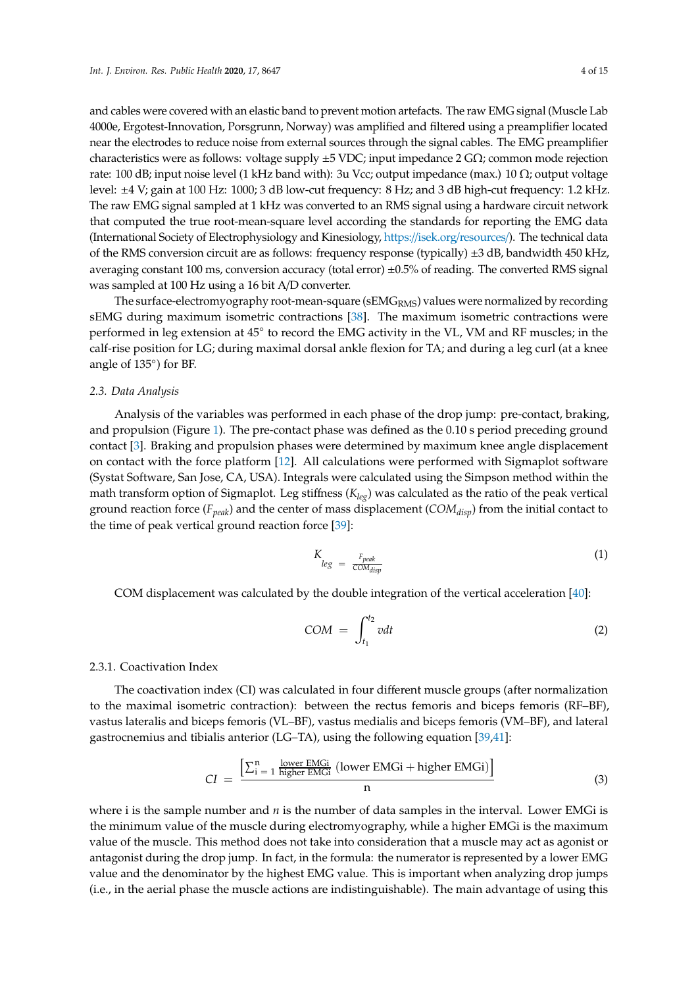and cables were covered with an elastic band to prevent motion artefacts. The raw EMG signal (Muscle Lab 4000e, Ergotest-Innovation, Porsgrunn, Norway) was amplified and filtered using a preamplifier located near the electrodes to reduce noise from external sources through the signal cables. The EMG preamplifier characteristics were as follows: voltage supply ±5 VDC; input impedance 2 GΩ; common mode rejection rate: 100 dB; input noise level (1 kHz band with): 3u Vcc; output impedance (max.) 10 Ω; output voltage level: ±4 V; gain at 100 Hz: 1000; 3 dB low-cut frequency: 8 Hz; and 3 dB high-cut frequency: 1.2 kHz. The raw EMG signal sampled at 1 kHz was converted to an RMS signal using a hardware circuit network that computed the true root-mean-square level according the standards for reporting the EMG data (International Society of Electrophysiology and Kinesiology, https://isek.org/[resources](https://isek.org/resources/)/). The technical data of the RMS conversion circuit are as follows: frequency response (typically) ±3 dB, bandwidth 450 kHz, averaging constant 100 ms, conversion accuracy (total error) ±0.5% of reading. The converted RMS signal was sampled at 100 Hz using a 16 bit A/D converter.

The surface-electromyography root-mean-square ( $sEMG<sub>RMS</sub>$ ) values were normalized by recording sEMG during maximum isometric contractions [\[38\]](#page-13-5). The maximum isometric contractions were performed in leg extension at 45° to record the EMG activity in the VL, VM and RF muscles; in the calf-rise position for LG; during maximal dorsal ankle flexion for TA; and during a leg curl (at a knee angle of 135◦ ) for BF.

#### *2.3. Data Analysis*

Analysis of the variables was performed in each phase of the drop jump: pre-contact, braking, and propulsion (Figure [1\)](#page-4-0). The pre-contact phase was defined as the 0.10 s period preceding ground contact [\[3\]](#page-11-2). Braking and propulsion phases were determined by maximum knee angle displacement on contact with the force platform [\[12\]](#page-12-18). All calculations were performed with Sigmaplot software (Systat Software, San Jose, CA, USA). Integrals were calculated using the Simpson method within the math transform option of Sigmaplot. Leg stiffness (*Kleg*) was calculated as the ratio of the peak vertical ground reaction force (*Fpeak*) and the center of mass displacement (*COMdisp*) from the initial contact to the time of peak vertical ground reaction force [\[39\]](#page-13-6):

$$
K_{leg} = \frac{F_{peak}}{COM_{disp}} \tag{1}
$$

COM displacement was calculated by the double integration of the vertical acceleration [\[40\]](#page-13-7):

$$
COM = \int_{t_1}^{t_2} v dt
$$
 (2)

#### 2.3.1. Coactivation Index

The coactivation index (CI) was calculated in four different muscle groups (after normalization to the maximal isometric contraction): between the rectus femoris and biceps femoris (RF–BF), vastus lateralis and biceps femoris (VL–BF), vastus medialis and biceps femoris (VM–BF), and lateral gastrocnemius and tibialis anterior (LG–TA), using the following equation [\[39,](#page-13-6)[41\]](#page-13-8):

$$
CI = \frac{\left[\sum_{i=1}^{n} \frac{\text{lower EMGi}}{\text{higher EMGi}} \left(\text{lower EMGi} + \text{higher EMGi}\right)\right]}{n}
$$
(3)

where i is the sample number and *n* is the number of data samples in the interval. Lower EMGi is the minimum value of the muscle during electromyography, while a higher EMGi is the maximum value of the muscle. This method does not take into consideration that a muscle may act as agonist or antagonist during the drop jump. In fact, in the formula: the numerator is represented by a lower EMG value and the denominator by the highest EMG value. This is important when analyzing drop jumps (i.e., in the aerial phase the muscle actions are indistinguishable). The main advantage of using this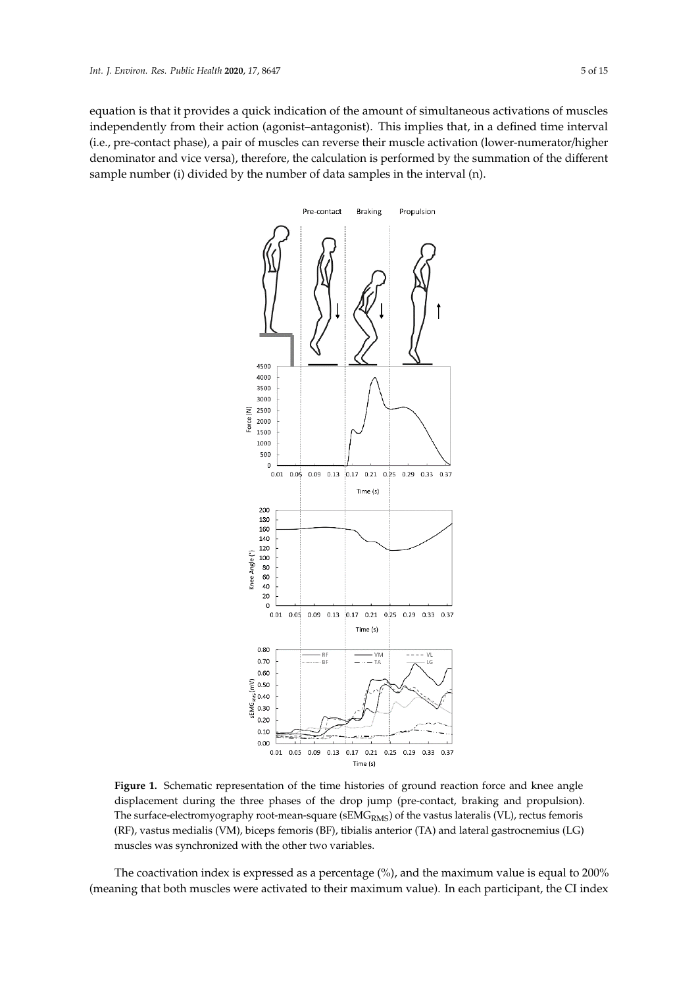<span id="page-4-0"></span>equation is that it provides a quick indication of the amount of simultaneous activations of muscles independently from their action (agonist–antagonist). This implies that, in a defined time interval (i.e., pre-contact phase), a pair of muscles can reverse their muscle activation (lower-numerator/higher)<br>Calculated at the several drop in the several drop in the drop in each phase of the drop in each phase of the denominator and vice versa), therefore, the calculation is performed by the summation of the different dependence was defined as the propulsion phase was defined as the 0.10 s per order of the 0.10 s per order of the 0.10 sample number (i) divided by the number of data samples in the interval  $(n)$ . The coaching is expressed as a percentage of the maximum value is equal to maximum value is equal to maximum value is equal to maximum value is equal to maximum value in the maximum value is equal to maximum value in the m



**Figure 1.** Schematic representation of the time histories of ground reaction force and knee angle **Figure 1.** Schematic representation of the time histories of ground reaction force and knee angle displacement during the three phases of the drop jump (pre-contact, braking and propulsion). surface-electromyography root-mean-square (sEMGRMS) of the vastus lateralis (VL), rectus femoris (RF), vastus medialis (VM), biceps femoris (BF), tibialis anterior (TA) and lateral gastrocnemius (LG) (RF), vastus medialis (VM), biceps femoris (BF), tibialis anterior (TA) and lateral gastrocnemius (LG) muscles was synchronized with the other two variables. muscles was synchronized with the other two variables. The surface-electromyography root-mean-square ( $sEMG<sub>RMS</sub>$ ) of the vastus lateralis (VL), rectus femoris

The coactivation index is expressed as a percentage (%), and the maximum value is equal to 200% (meaning that both muscles were activated to their maximum value). In each participant, the CI index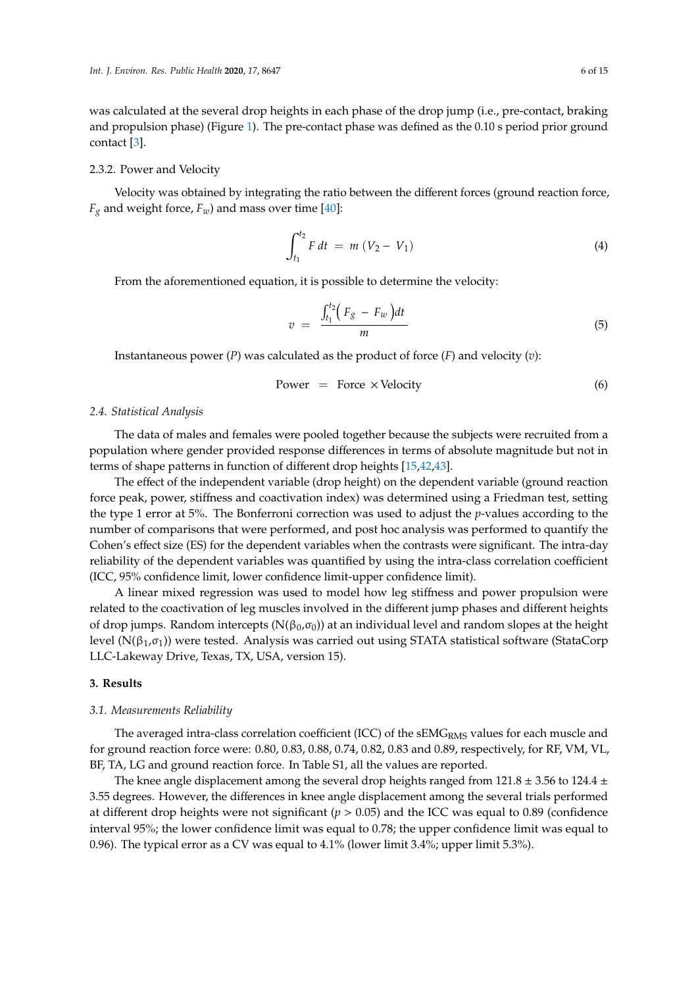was calculated at the several drop heights in each phase of the drop jump (i.e., pre-contact, braking and propulsion phase) (Figure [1\)](#page-4-0). The pre-contact phase was defined as the 0.10 s period prior ground contact [\[3\]](#page-11-2).

#### 2.3.2. Power and Velocity

Velocity was obtained by integrating the ratio between the different forces (ground reaction force,  $F_g$  and weight force,  $F_w$ ) and mass over time [\[40\]](#page-13-7):

$$
\int_{t_1}^{t_2} F dt = m (V_2 - V_1)
$$
 (4)

From the aforementioned equation, it is possible to determine the velocity:

$$
v = \frac{\int_{t_1}^{t_2} \left( F_g - F_w \right) dt}{m} \tag{5}
$$

Instantaneous power (*P*) was calculated as the product of force (*F*) and velocity (*v*):

$$
Power = Force \times Velocity
$$
 (6)

#### *2.4. Statistical Analysis*

The data of males and females were pooled together because the subjects were recruited from a population where gender provided response differences in terms of absolute magnitude but not in terms of shape patterns in function of different drop heights [\[15,](#page-12-0)[42,](#page-13-9)[43\]](#page-13-10).

The effect of the independent variable (drop height) on the dependent variable (ground reaction force peak, power, stiffness and coactivation index) was determined using a Friedman test, setting the type 1 error at 5%. The Bonferroni correction was used to adjust the *p*-values according to the number of comparisons that were performed, and post hoc analysis was performed to quantify the Cohen's effect size (ES) for the dependent variables when the contrasts were significant. The intra-day reliability of the dependent variables was quantified by using the intra-class correlation coefficient (ICC, 95% confidence limit, lower confidence limit-upper confidence limit).

A linear mixed regression was used to model how leg stiffness and power propulsion were related to the coactivation of leg muscles involved in the different jump phases and different heights of drop jumps. Random intercepts ( $N(\beta_0,\sigma_0)$ ) at an individual level and random slopes at the height level ( $N(β<sub>1</sub>,σ<sub>1</sub>)$ ) were tested. Analysis was carried out using STATA statistical software (StataCorp LLC-Lakeway Drive, Texas, TX, USA, version 15).

### **3. Results**

#### *3.1. Measurements Reliability*

The averaged intra-class correlation coefficient (ICC) of the  $sEMG<sub>RMS</sub>$  values for each muscle and for ground reaction force were: 0.80, 0.83, 0.88, 0.74, 0.82, 0.83 and 0.89, respectively, for RF, VM, VL, BF, TA, LG and ground reaction force. In Table S1, all the values are reported.

The knee angle displacement among the several drop heights ranged from  $121.8 \pm 3.56$  to  $124.4 \pm 12.5$ 3.55 degrees. However, the differences in knee angle displacement among the several trials performed at different drop heights were not significant ( $p > 0.05$ ) and the ICC was equal to 0.89 (confidence interval 95%; the lower confidence limit was equal to 0.78; the upper confidence limit was equal to 0.96). The typical error as a CV was equal to 4.1% (lower limit 3.4%; upper limit 5.3%).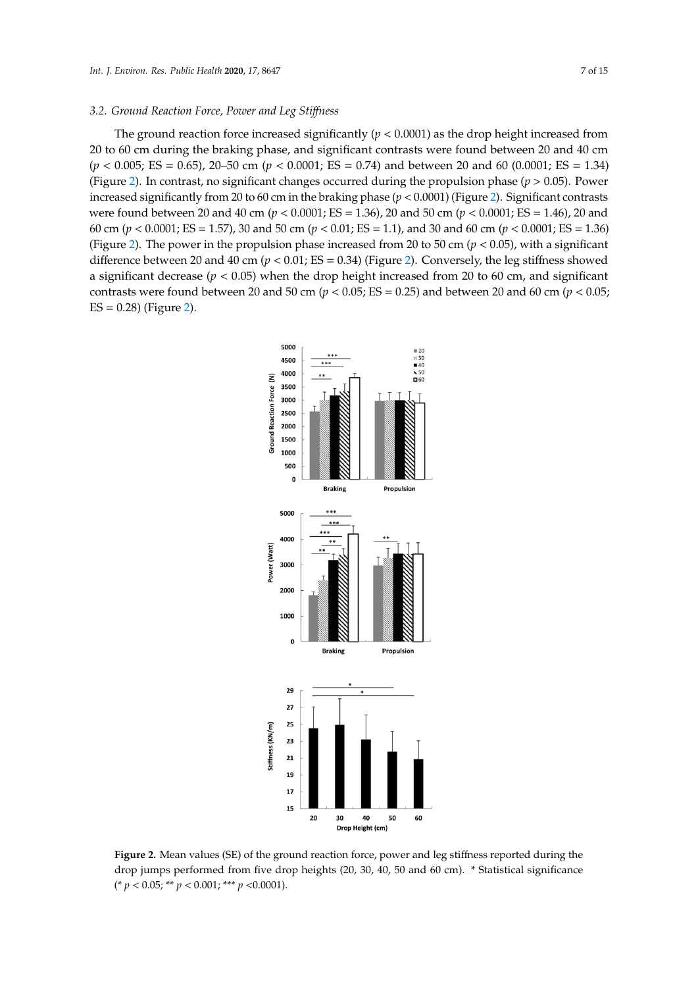#### *3.2. Ground Reaction Force, Power and Leg Sti*ff*ness*

The ground reaction force increased significantly ( $p < 0.0001$ ) as the drop height increased from 20 to 60 cm during the braking phase, and significant contrasts were found between 20 and 40 cm (*p* < 0.005; ES = 0.65), 20–50 cm (*p* < 0.0001; ES = 0.74) and between 20 and 60 (0.0001; ES = 1.34) (Figure [2\)](#page-6-0). In contrast, no significant changes occurred during the propulsion phase ( $p > 0.05$ ). Power increased significantly from 20 to 60 cm in the braking phase (*p* < 0.0001) (Figure [2\)](#page-6-0). Significant contrasts were found between 20 and 40 cm (*p* < 0.0001; ES = 1.36), 20 and 50 cm (*p* < 0.0001; ES = 1.46), 20 and 60 cm (*p* < 0.0001; ES = 1.57), 30 and 50 cm (*p* < 0.01; ES = 1.1), and 30 and 60 cm (*p* < 0.0001; ES = 1.36) (Figure 2). The power in the propulsion phase increased from 20 to 50 cm (*p* < 0.05), with a significant difference between 20 and 40 cm ( $p < 0.01$ ; ES = 0.3[4\) \(](#page-6-0)Figure 2). Conversely, the leg stiffness showed a significant decrease ( $p < 0.05$ ) when the drop height increased from 20 to 60 cm, and significant contrasts were found between 20 and 50 cm ( $p < 0.05$ ; ES = 0.25) and between 20 and 60 cm ( $p < 0.05$ ; ES = 0.28) (Figure [2\)](#page-6-0). *I* were found between 20 and 40 cm ( $p < 0.0001$ ; ES = 1.36), 20 and 50 cm ( $p < 0.0001$ ; ES = 1.46), 20 and 60 cm ( $p < 0.0001$ ; ES = 1.36)<br> *I* and  $p < 0.0001$ ; ES = 1.57), 30 and 50 cm ( $p < 0.01$ ; ES = 1.1), and 30 and 6

<span id="page-6-0"></span>

**Figure 2.** Mean values (SE) of the ground reaction force, power and leg stiffness reported during the **Figure 2.** Mean values (SE) of the ground reaction force, power and leg stiffness reported during the drop jumps performed from five drop heights (20, 30, 40, 50 and 60 cm). \* Statistical significance < 0.05; \*\* *p* < 0.001; \*\*\* *p* <0.0001). (\* *p* < 0.05; \*\* *p* < 0.001; \*\*\* *p* <0.0001).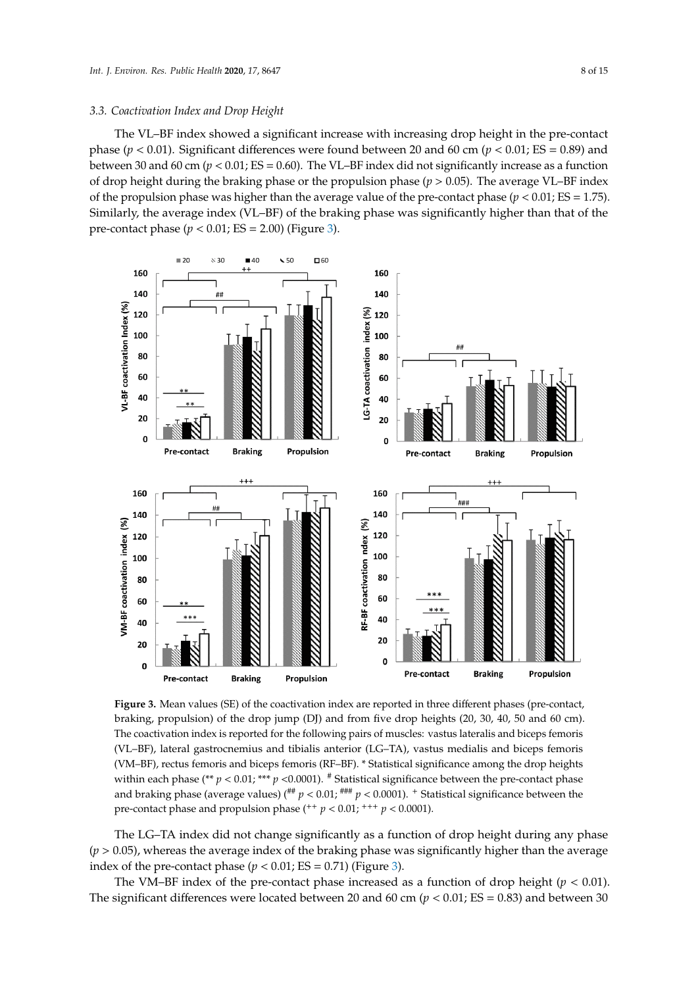# 3.3. Coactivation Index and Drop Height **contact phase was greater than than than that of the pre-contact phase (**

The VL-BF index showed a significant increase with increasing drop height in the pre-contact phase ( $p < 0.01$ ). Significant differences were found between 20 and 60 cm ( $p < 0.01$ ; ES = 0.89) and between 30 and 60 cm ( $p < 0.01$ ; ES = 0.60). The VL–BF index did not significantly increase as a function of drop height during the braking phase or the propulsion phase (*p* > 0.05). The average VL–BF index of the propulsion phase was higher than the average value of the pre-contact phase ( $p < 0.01$ ; *ES* = 1.75). Similarly, the average index (VL–BF) of the braking phase was significantly higher than that of the pre-contact phase ( $p < 0.01$ ; ES = 2.00) (Figure [3\)](#page-7-0).

<span id="page-7-0"></span>

**Figure 3.** Mean values (SE) of the coactivation index are reported in three different phases (pre-**Figure 3.** Mean values (SE) of the coactivation index are reported in three different phases (pre-contact, braking, propulsion) of the drop jump (DJ) and from five drop heights (20, 30, 40, 50 and 60 cm). The coactivation index is reported for the following pairs of muscles: vastus lateralis and biceps femoris (VL–BF), lateral gastrocnemius and tibialis anterior (LG–TA), vastus medialis and biceps femoris (VM–BF), rectus femoris and biceps femoris (RF–BF). \* Statistical significance among the drop heights within each phase (\*\*  $p < 0.01$ ; \*\*\*  $p < 0.0001$ ). # Statistical significance between the pre-contact phase and braking phase (average values) ( $^{***}$   $p$  < 0.01;  $^{***}$   $p$  < 0.0001). <sup>+</sup> Statistical significance between the pre-contact phase and propulsion phase ( $+$   $p$  < 0.01;  $+$   $+$   $p$  < 0.0001).

The LG–TA index did not change significantly as a function of drop height during any phase  $(p > 0.05)$ , whereas the average index of the braking phase was significantly higher than the average index of the pre-contact phase  $(p < 0.01; ES = 0.71)$  (Figure [3\)](#page-7-0).

The VM–BF index of the pre-contact phase increased as a function of drop height ( $p < 0.01$ ). The significant differences were located between 20 and 60 cm ( $p < 0.01$ ; ES = 0.83) and between 30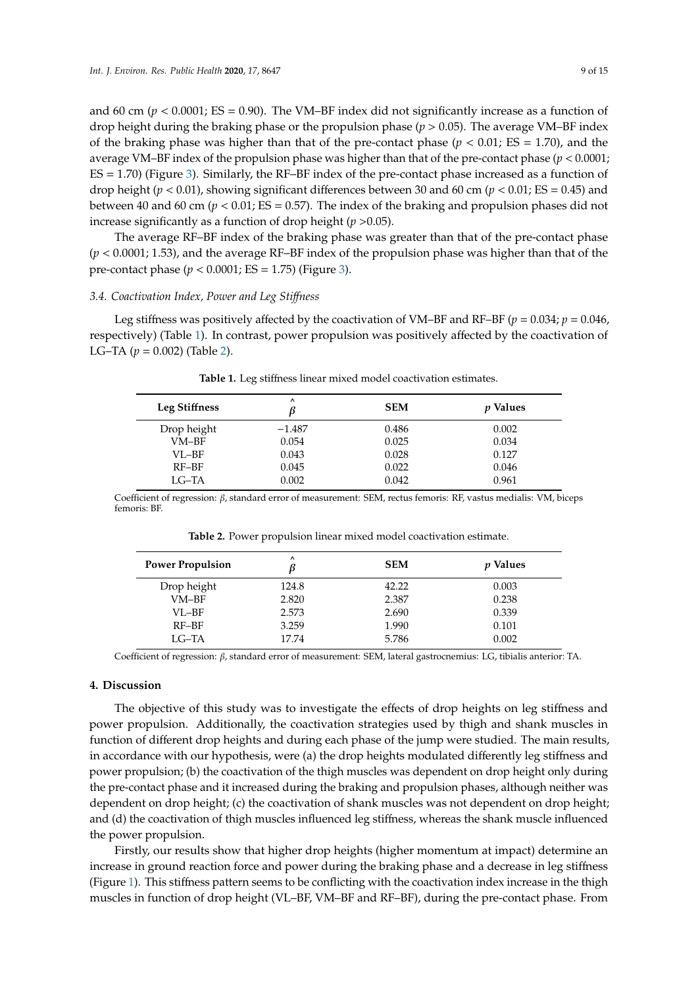and 60 cm ( $p < 0.0001$ ; ES = 0.90). The VM–BF index did not significantly increase as a function of drop height during the braking phase or the propulsion phase (*p* > 0.05). The average VM–BF index of the braking phase was higher than that of the pre-contact phase  $(p < 0.01; ES = 1.70)$ , and the average VM–BF index of the propulsion phase was higher than that of the pre-contact phase (*p* < 0.0001; ES = 1.70) (Figure [3\)](#page-7-0). Similarly, the RF–BF index of the pre-contact phase increased as a function of drop height (*p* < 0.01), showing significant differences between 30 and 60 cm (*p* < 0.01; ES = 0.45) and between 40 and 60 cm (*p* < 0.01; ES = 0.57). The index of the braking and propulsion phases did not increase significantly as a function of drop height (*p* >0.05).

The average RF–BF index of the braking phase was greater than that of the pre-contact phase (*p* < 0.0001; 1.53), and the average RF–BF index of the propulsion phase was higher than that of the pre-contact phase ( $p < 0.0001$ ; ES = 1.75) (Figure [3\)](#page-7-0).

#### *3.4. Coactivation Index, Power and Leg Sti*ff*ness*

<span id="page-8-0"></span>Leg stiffness was positively affected by the coactivation of VM–BF and RF–BF ( $p = 0.034$ ;  $p = 0.046$ ) respectively) (Table [1\)](#page-8-0). In contrast, power propulsion was positively affected by the coactivation of LG–TA ( $p = 0.002$ ) (Table [2\)](#page-8-1).

| Leg Stiffness | $\lambda$ | <b>SEM</b> | <i>v</i> Values |
|---------------|-----------|------------|-----------------|
| Drop height   | $-1.487$  | 0.486      | 0.002           |
| $VM-BF$       | 0.054     | 0.025      | 0.034           |
| $VI$ $-HF$    | 0.043     | 0.028      | 0.127           |
| RF-BF         | 0.045     | 0.022      | 0.046           |
| LG–TA         | 0.002     | 0.042      | 0.961           |

**Table 1.** Leg stiffness linear mixed model coactivation estimates.

<span id="page-8-1"></span>Coefficient of regression: β, standard error of measurement: SEM, rectus femoris: RF, vastus medialis: VM, biceps femoris: BF.

| <b>Power Propulsion</b> | $\lambda$ | <b>SEM</b> | <i>v</i> Values |
|-------------------------|-----------|------------|-----------------|
| Drop height             | 124.8     | 42.22      | 0.003           |
| VM-BF                   | 2.820     | 2.387      | 0.238           |
| VI.–BF                  | 2.573     | 2.690      | 0.339           |
| RF-BF                   | 3.259     | 1.990      | 0.101           |
| $LG-TA$                 | 17.74     | 5.786      | 0.002           |

**Table 2.** Power propulsion linear mixed model coactivation estimate.

Coefficient of regression: β, standard error of measurement: SEM, lateral gastrocnemius: LG, tibialis anterior: TA.

# **4. Discussion**

The objective of this study was to investigate the effects of drop heights on leg stiffness and power propulsion. Additionally, the coactivation strategies used by thigh and shank muscles in function of different drop heights and during each phase of the jump were studied. The main results, in accordance with our hypothesis, were (a) the drop heights modulated differently leg stiffness and power propulsion; (b) the coactivation of the thigh muscles was dependent on drop height only during the pre-contact phase and it increased during the braking and propulsion phases, although neither was dependent on drop height; (c) the coactivation of shank muscles was not dependent on drop height; and (d) the coactivation of thigh muscles influenced leg stiffness, whereas the shank muscle influenced the power propulsion.

Firstly, our results show that higher drop heights (higher momentum at impact) determine an increase in ground reaction force and power during the braking phase and a decrease in leg stiffness (Figure [1\)](#page-4-0). This stiffness pattern seems to be conflicting with the coactivation index increase in the thigh muscles in function of drop height (VL–BF, VM–BF and RF–BF), during the pre-contact phase. From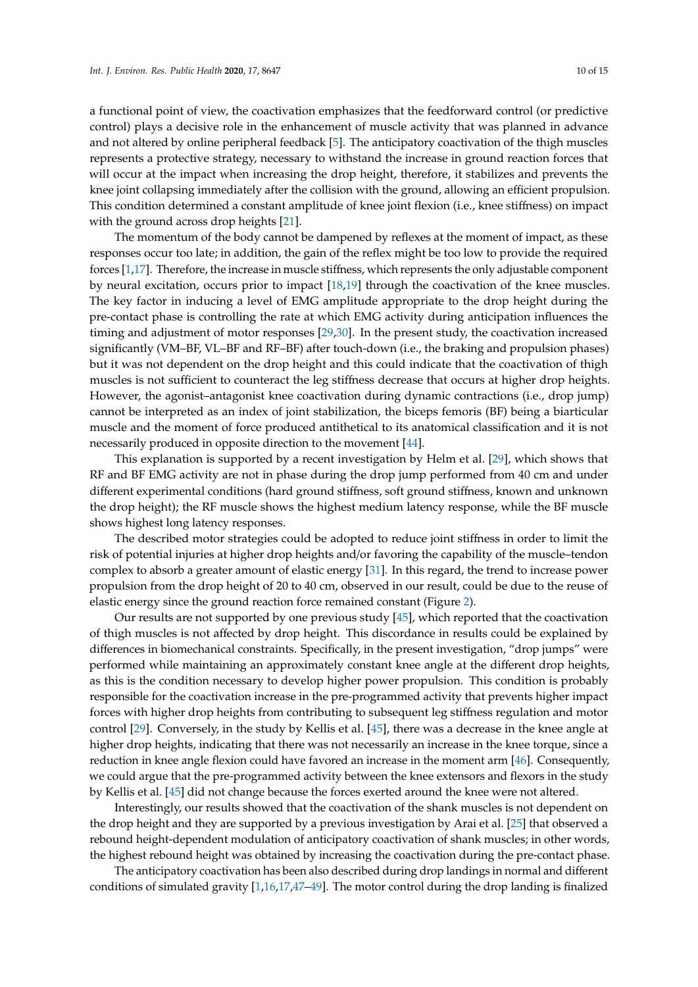a functional point of view, the coactivation emphasizes that the feedforward control (or predictive control) plays a decisive role in the enhancement of muscle activity that was planned in advance and not altered by online peripheral feedback [\[5\]](#page-11-4). The anticipatory coactivation of the thigh muscles represents a protective strategy, necessary to withstand the increase in ground reaction forces that will occur at the impact when increasing the drop height, therefore, it stabilizes and prevents the knee joint collapsing immediately after the collision with the ground, allowing an efficient propulsion. This condition determined a constant amplitude of knee joint flexion (i.e., knee stiffness) on impact with the ground across drop heights [\[21\]](#page-12-7).

The momentum of the body cannot be dampened by reflexes at the moment of impact, as these responses occur too late; in addition, the gain of the reflex might be too low to provide the required forces [\[1](#page-11-0)[,17\]](#page-12-2). Therefore, the increase in muscle stiffness, which represents the only adjustable component by neural excitation, occurs prior to impact [\[18](#page-12-3)[,19\]](#page-12-4) through the coactivation of the knee muscles. The key factor in inducing a level of EMG amplitude appropriate to the drop height during the pre-contact phase is controlling the rate at which EMG activity during anticipation influences the timing and adjustment of motor responses [\[29](#page-12-15)[,30\]](#page-12-19). In the present study, the coactivation increased significantly (VM–BF, VL–BF and RF–BF) after touch-down (i.e., the braking and propulsion phases) but it was not dependent on the drop height and this could indicate that the coactivation of thigh muscles is not sufficient to counteract the leg stiffness decrease that occurs at higher drop heights. However, the agonist–antagonist knee coactivation during dynamic contractions (i.e., drop jump) cannot be interpreted as an index of joint stabilization, the biceps femoris (BF) being a biarticular muscle and the moment of force produced antithetical to its anatomical classification and it is not necessarily produced in opposite direction to the movement [\[44\]](#page-13-11).

This explanation is supported by a recent investigation by Helm et al. [\[29\]](#page-12-15), which shows that RF and BF EMG activity are not in phase during the drop jump performed from 40 cm and under different experimental conditions (hard ground stiffness, soft ground stiffness, known and unknown the drop height); the RF muscle shows the highest medium latency response, while the BF muscle shows highest long latency responses.

The described motor strategies could be adopted to reduce joint stiffness in order to limit the risk of potential injuries at higher drop heights and/or favoring the capability of the muscle–tendon complex to absorb a greater amount of elastic energy [\[31\]](#page-12-16). In this regard, the trend to increase power propulsion from the drop height of 20 to 40 cm, observed in our result, could be due to the reuse of elastic energy since the ground reaction force remained constant (Figure [2\)](#page-6-0).

Our results are not supported by one previous study [\[45\]](#page-13-12), which reported that the coactivation of thigh muscles is not affected by drop height. This discordance in results could be explained by differences in biomechanical constraints. Specifically, in the present investigation, "drop jumps" were performed while maintaining an approximately constant knee angle at the different drop heights, as this is the condition necessary to develop higher power propulsion. This condition is probably responsible for the coactivation increase in the pre-programmed activity that prevents higher impact forces with higher drop heights from contributing to subsequent leg stiffness regulation and motor control [\[29\]](#page-12-15). Conversely, in the study by Kellis et al. [\[45\]](#page-13-12), there was a decrease in the knee angle at higher drop heights, indicating that there was not necessarily an increase in the knee torque, since a reduction in knee angle flexion could have favored an increase in the moment arm [\[46\]](#page-13-13). Consequently, we could argue that the pre-programmed activity between the knee extensors and flexors in the study by Kellis et al. [\[45\]](#page-13-12) did not change because the forces exerted around the knee were not altered.

Interestingly, our results showed that the coactivation of the shank muscles is not dependent on the drop height and they are supported by a previous investigation by Arai et al. [\[25\]](#page-12-11) that observed a rebound height-dependent modulation of anticipatory coactivation of shank muscles; in other words, the highest rebound height was obtained by increasing the coactivation during the pre-contact phase.

The anticipatory coactivation has been also described during drop landings in normal and different conditions of simulated gravity [\[1,](#page-11-0)[16,](#page-12-1)[17,](#page-12-2)[47–](#page-13-14)[49\]](#page-13-15). The motor control during the drop landing is finalized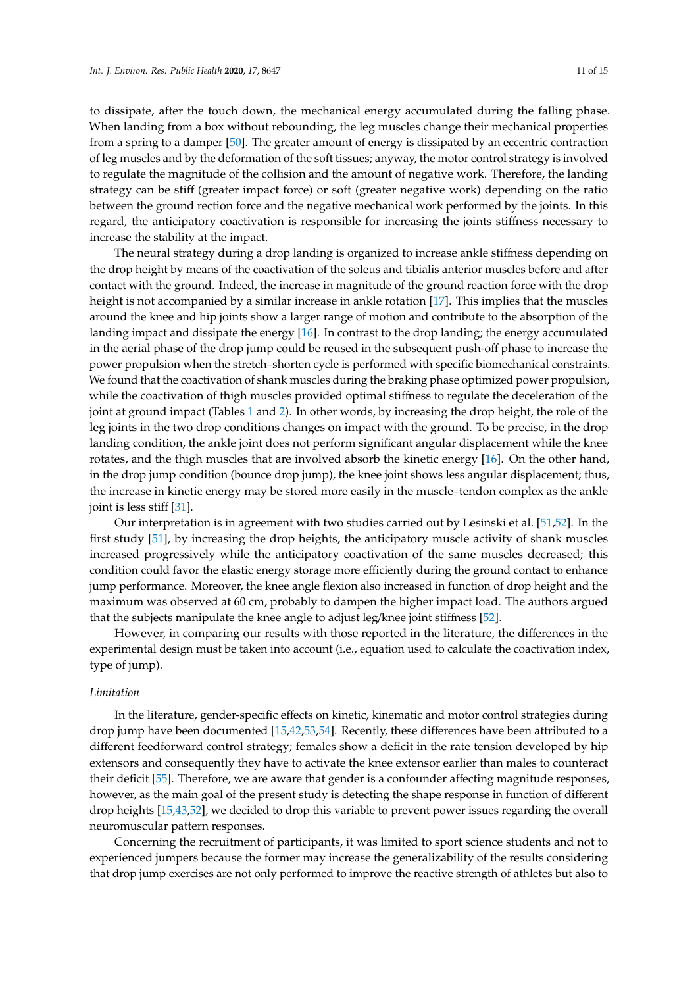to dissipate, after the touch down, the mechanical energy accumulated during the falling phase. When landing from a box without rebounding, the leg muscles change their mechanical properties from a spring to a damper [\[50\]](#page-13-16). The greater amount of energy is dissipated by an eccentric contraction of leg muscles and by the deformation of the soft tissues; anyway, the motor control strategy is involved to regulate the magnitude of the collision and the amount of negative work. Therefore, the landing strategy can be stiff (greater impact force) or soft (greater negative work) depending on the ratio between the ground rection force and the negative mechanical work performed by the joints. In this regard, the anticipatory coactivation is responsible for increasing the joints stiffness necessary to increase the stability at the impact.

The neural strategy during a drop landing is organized to increase ankle stiffness depending on the drop height by means of the coactivation of the soleus and tibialis anterior muscles before and after contact with the ground. Indeed, the increase in magnitude of the ground reaction force with the drop height is not accompanied by a similar increase in ankle rotation [\[17\]](#page-12-2). This implies that the muscles around the knee and hip joints show a larger range of motion and contribute to the absorption of the landing impact and dissipate the energy [\[16\]](#page-12-1). In contrast to the drop landing; the energy accumulated in the aerial phase of the drop jump could be reused in the subsequent push-off phase to increase the power propulsion when the stretch–shorten cycle is performed with specific biomechanical constraints. We found that the coactivation of shank muscles during the braking phase optimized power propulsion, while the coactivation of thigh muscles provided optimal stiffness to regulate the deceleration of the joint at ground impact (Tables [1](#page-8-0) and [2\)](#page-8-1). In other words, by increasing the drop height, the role of the leg joints in the two drop conditions changes on impact with the ground. To be precise, in the drop landing condition, the ankle joint does not perform significant angular displacement while the knee rotates, and the thigh muscles that are involved absorb the kinetic energy [\[16\]](#page-12-1). On the other hand, in the drop jump condition (bounce drop jump), the knee joint shows less angular displacement; thus, the increase in kinetic energy may be stored more easily in the muscle–tendon complex as the ankle joint is less stiff [\[31\]](#page-12-16).

Our interpretation is in agreement with two studies carried out by Lesinski et al. [\[51,](#page-13-17)[52\]](#page-13-18). In the first study [\[51\]](#page-13-17), by increasing the drop heights, the anticipatory muscle activity of shank muscles increased progressively while the anticipatory coactivation of the same muscles decreased; this condition could favor the elastic energy storage more efficiently during the ground contact to enhance jump performance. Moreover, the knee angle flexion also increased in function of drop height and the maximum was observed at 60 cm, probably to dampen the higher impact load. The authors argued that the subjects manipulate the knee angle to adjust leg/knee joint stiffness [\[52\]](#page-13-18).

However, in comparing our results with those reported in the literature, the differences in the experimental design must be taken into account (i.e., equation used to calculate the coactivation index, type of jump).

#### *Limitation*

In the literature, gender-specific effects on kinetic, kinematic and motor control strategies during drop jump have been documented [\[15,](#page-12-0)[42](#page-13-9)[,53](#page-13-19)[,54\]](#page-13-20). Recently, these differences have been attributed to a different feedforward control strategy; females show a deficit in the rate tension developed by hip extensors and consequently they have to activate the knee extensor earlier than males to counteract their deficit [\[55\]](#page-13-21). Therefore, we are aware that gender is a confounder affecting magnitude responses, however, as the main goal of the present study is detecting the shape response in function of different drop heights [\[15,](#page-12-0)[43,](#page-13-10)[52\]](#page-13-18), we decided to drop this variable to prevent power issues regarding the overall neuromuscular pattern responses.

Concerning the recruitment of participants, it was limited to sport science students and not to experienced jumpers because the former may increase the generalizability of the results considering that drop jump exercises are not only performed to improve the reactive strength of athletes but also to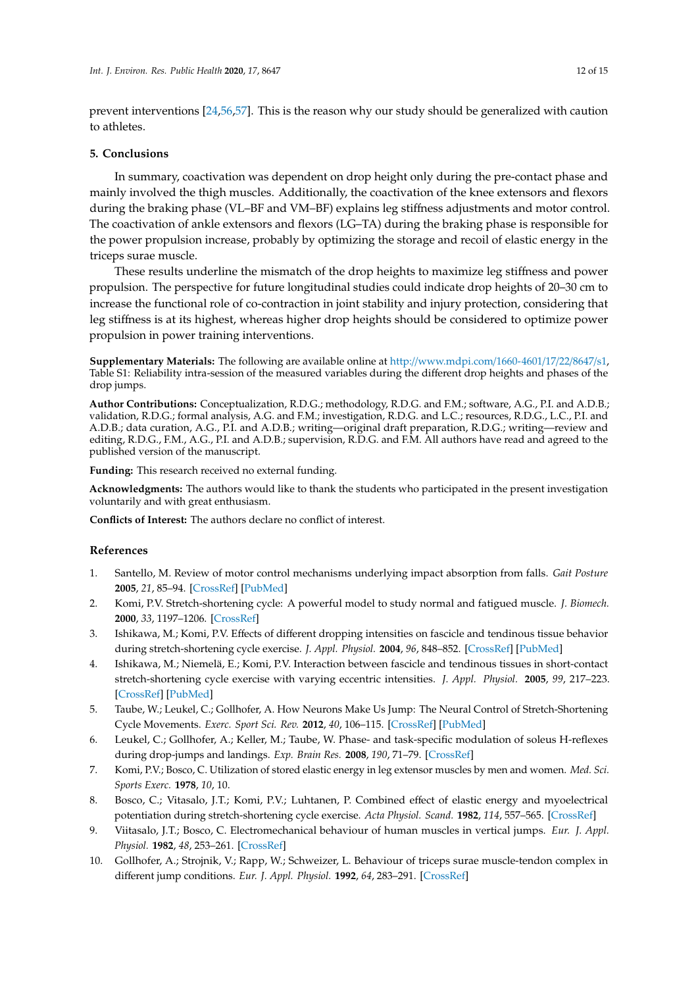prevent interventions [\[24](#page-12-10)[,56](#page-14-0)[,57\]](#page-14-1). This is the reason why our study should be generalized with caution to athletes.

#### **5. Conclusions**

In summary, coactivation was dependent on drop height only during the pre-contact phase and mainly involved the thigh muscles. Additionally, the coactivation of the knee extensors and flexors during the braking phase (VL–BF and VM–BF) explains leg stiffness adjustments and motor control. The coactivation of ankle extensors and flexors (LG–TA) during the braking phase is responsible for the power propulsion increase, probably by optimizing the storage and recoil of elastic energy in the triceps surae muscle.

These results underline the mismatch of the drop heights to maximize leg stiffness and power propulsion. The perspective for future longitudinal studies could indicate drop heights of 20–30 cm to increase the functional role of co-contraction in joint stability and injury protection, considering that leg stiffness is at its highest, whereas higher drop heights should be considered to optimize power propulsion in power training interventions.

**Supplementary Materials:** The following are available online at http://[www.mdpi.com](http://www.mdpi.com/1660-4601/17/22/8647/s1)/1660-4601/17/22/8647/s1, Table S1: Reliability intra-session of the measured variables during the different drop heights and phases of the drop jumps.

**Author Contributions:** Conceptualization, R.D.G.; methodology, R.D.G. and F.M.; software, A.G., P.I. and A.D.B.; validation, R.D.G.; formal analysis, A.G. and F.M.; investigation, R.D.G. and L.C.; resources, R.D.G., L.C., P.I. and A.D.B.; data curation, A.G., P.I. and A.D.B.; writing—original draft preparation, R.D.G.; writing—review and editing, R.D.G., F.M., A.G., P.I. and A.D.B.; supervision, R.D.G. and F.M. All authors have read and agreed to the published version of the manuscript.

**Funding:** This research received no external funding.

**Acknowledgments:** The authors would like to thank the students who participated in the present investigation voluntarily and with great enthusiasm.

**Conflicts of Interest:** The authors declare no conflict of interest.

#### **References**

- <span id="page-11-0"></span>1. Santello, M. Review of motor control mechanisms underlying impact absorption from falls. *Gait Posture* **2005**, *21*, 85–94. [\[CrossRef\]](http://dx.doi.org/10.1016/j.gaitpost.2004.01.005) [\[PubMed\]](http://www.ncbi.nlm.nih.gov/pubmed/15536038)
- <span id="page-11-1"></span>2. Komi, P.V. Stretch-shortening cycle: A powerful model to study normal and fatigued muscle. *J. Biomech.* **2000**, *33*, 1197–1206. [\[CrossRef\]](http://dx.doi.org/10.1016/S0021-9290(00)00064-6)
- <span id="page-11-2"></span>3. Ishikawa, M.; Komi, P.V. Effects of different dropping intensities on fascicle and tendinous tissue behavior during stretch-shortening cycle exercise. *J. Appl. Physiol.* **2004**, *96*, 848–852. [\[CrossRef\]](http://dx.doi.org/10.1152/japplphysiol.00948.2003) [\[PubMed\]](http://www.ncbi.nlm.nih.gov/pubmed/14594857)
- <span id="page-11-3"></span>4. Ishikawa, M.; Niemelä, E.; Komi, P.V. Interaction between fascicle and tendinous tissues in short-contact stretch-shortening cycle exercise with varying eccentric intensities. *J. Appl. Physiol.* **2005**, *99*, 217–223. [\[CrossRef\]](http://dx.doi.org/10.1152/japplphysiol.01352.2004) [\[PubMed\]](http://www.ncbi.nlm.nih.gov/pubmed/15705735)
- <span id="page-11-4"></span>5. Taube, W.; Leukel, C.; Gollhofer, A. How Neurons Make Us Jump: The Neural Control of Stretch-Shortening Cycle Movements. *Exerc. Sport Sci. Rev.* **2012**, *40*, 106–115. [\[CrossRef\]](http://dx.doi.org/10.1097/JES.0b013e31824138da) [\[PubMed\]](http://www.ncbi.nlm.nih.gov/pubmed/22089697)
- <span id="page-11-6"></span>6. Leukel, C.; Gollhofer, A.; Keller, M.; Taube, W. Phase- and task-specific modulation of soleus H-reflexes during drop-jumps and landings. *Exp. Brain Res.* **2008**, *190*, 71–79. [\[CrossRef\]](http://dx.doi.org/10.1007/s00221-008-1450-5)
- <span id="page-11-5"></span>7. Komi, P.V.; Bosco, C. Utilization of stored elastic energy in leg extensor muscles by men and women. *Med. Sci. Sports Exerc.* **1978**, *10*, 10.
- 8. Bosco, C.; Vitasalo, J.T.; Komi, P.V.; Luhtanen, P. Combined effect of elastic energy and myoelectrical potentiation during stretch-shortening cycle exercise. *Acta Physiol. Scand.* **1982**, *114*, 557–565. [\[CrossRef\]](http://dx.doi.org/10.1111/j.1748-1716.1982.tb07024.x)
- 9. Viitasalo, J.T.; Bosco, C. Electromechanical behaviour of human muscles in vertical jumps. *Eur. J. Appl. Physiol.* **1982**, *48*, 253–261. [\[CrossRef\]](http://dx.doi.org/10.1007/BF00422986)
- 10. Gollhofer, A.; Strojnik, V.; Rapp, W.; Schweizer, L. Behaviour of triceps surae muscle-tendon complex in different jump conditions. *Eur. J. Appl. Physiol.* **1992**, *64*, 283–291. [\[CrossRef\]](http://dx.doi.org/10.1007/BF00636213)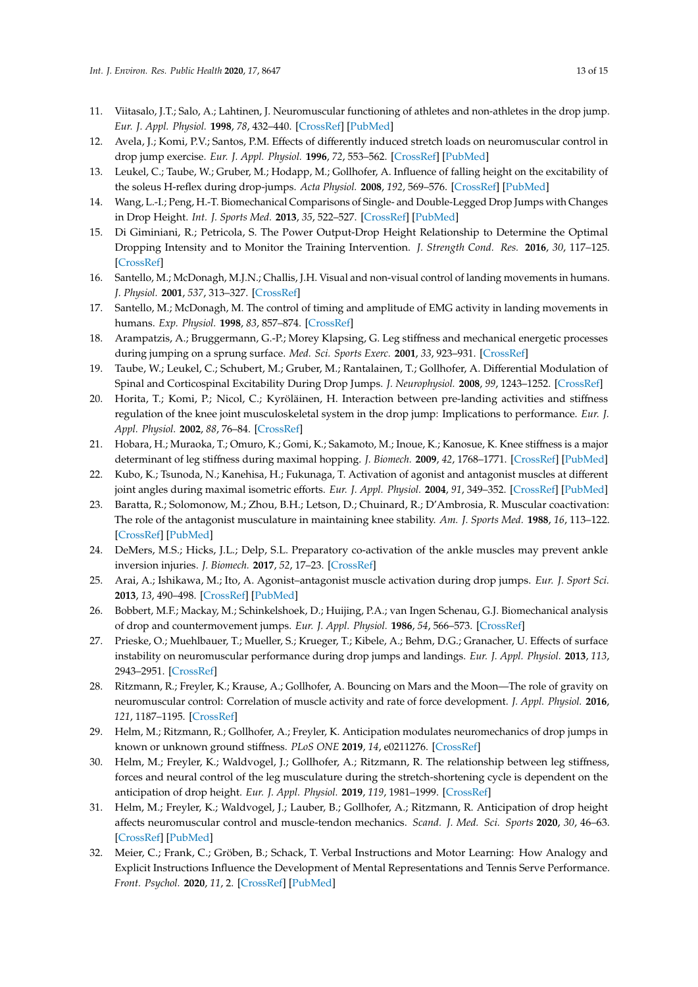- 11. Viitasalo, J.T.; Salo, A.; Lahtinen, J. Neuromuscular functioning of athletes and non-athletes in the drop jump. *Eur. J. Appl. Physiol.* **1998**, *78*, 432–440. [\[CrossRef\]](http://dx.doi.org/10.1007/s004210050442) [\[PubMed\]](http://www.ncbi.nlm.nih.gov/pubmed/9809844)
- <span id="page-12-18"></span>12. Avela, J.; Komi, P.V.; Santos, P.M. Effects of differently induced stretch loads on neuromuscular control in drop jump exercise. *Eur. J. Appl. Physiol.* **1996**, *72*, 553–562. [\[CrossRef\]](http://dx.doi.org/10.1007/BF00242290) [\[PubMed\]](http://www.ncbi.nlm.nih.gov/pubmed/8925831)
- 13. Leukel, C.; Taube, W.; Gruber, M.; Hodapp, M.; Gollhofer, A. Influence of falling height on the excitability of the soleus H-reflex during drop-jumps. *Acta Physiol.* **2008**, *192*, 569–576. [\[CrossRef\]](http://dx.doi.org/10.1111/j.1748-1716.2007.01762.x) [\[PubMed\]](http://www.ncbi.nlm.nih.gov/pubmed/17970828)
- <span id="page-12-5"></span>14. Wang, L.-I.; Peng, H.-T. Biomechanical Comparisons of Single- and Double-Legged Drop Jumps with Changes in Drop Height. *Int. J. Sports Med.* **2013**, *35*, 522–527. [\[CrossRef\]](http://dx.doi.org/10.1055/s-0033-1345133) [\[PubMed\]](http://www.ncbi.nlm.nih.gov/pubmed/23771829)
- <span id="page-12-0"></span>15. Di Giminiani, R.; Petricola, S. The Power Output-Drop Height Relationship to Determine the Optimal Dropping Intensity and to Monitor the Training Intervention. *J. Strength Cond. Res.* **2016**, *30*, 117–125. [\[CrossRef\]](http://dx.doi.org/10.1519/JSC.0000000000001076)
- <span id="page-12-1"></span>16. Santello, M.; McDonagh, M.J.N.; Challis, J.H. Visual and non-visual control of landing movements in humans. *J. Physiol.* **2001**, *537*, 313–327. [\[CrossRef\]](http://dx.doi.org/10.1111/j.1469-7793.2001.0313k.x)
- <span id="page-12-2"></span>17. Santello, M.; McDonagh, M. The control of timing and amplitude of EMG activity in landing movements in humans. *Exp. Physiol.* **1998**, *83*, 857–874. [\[CrossRef\]](http://dx.doi.org/10.1113/expphysiol.1998.sp004165)
- <span id="page-12-3"></span>18. Arampatzis, A.; Bruggermann, G.-P.; Morey Klapsing, G. Leg stiffness and mechanical energetic processes during jumping on a sprung surface. *Med. Sci. Sports Exerc.* **2001**, *33*, 923–931. [\[CrossRef\]](http://dx.doi.org/10.1097/00005768-200106000-00011)
- <span id="page-12-4"></span>19. Taube, W.; Leukel, C.; Schubert, M.; Gruber, M.; Rantalainen, T.; Gollhofer, A. Differential Modulation of Spinal and Corticospinal Excitability During Drop Jumps. *J. Neurophysiol.* **2008**, *99*, 1243–1252. [\[CrossRef\]](http://dx.doi.org/10.1152/jn.01118.2007)
- <span id="page-12-6"></span>20. Horita, T.; Komi, P.; Nicol, C.; Kyröläinen, H. Interaction between pre-landing activities and stiffness regulation of the knee joint musculoskeletal system in the drop jump: Implications to performance. *Eur. J. Appl. Physiol.* **2002**, *88*, 76–84. [\[CrossRef\]](http://dx.doi.org/10.1007/s00421-002-0673-6)
- <span id="page-12-7"></span>21. Hobara, H.; Muraoka, T.; Omuro, K.; Gomi, K.; Sakamoto, M.; Inoue, K.; Kanosue, K. Knee stiffness is a major determinant of leg stiffness during maximal hopping. *J. Biomech.* **2009**, *42*, 1768–1771. [\[CrossRef\]](http://dx.doi.org/10.1016/j.jbiomech.2009.04.047) [\[PubMed\]](http://www.ncbi.nlm.nih.gov/pubmed/19486983)
- <span id="page-12-8"></span>22. Kubo, K.; Tsunoda, N.; Kanehisa, H.; Fukunaga, T. Activation of agonist and antagonist muscles at different joint angles during maximal isometric efforts. *Eur. J. Appl. Physiol.* **2004**, *91*, 349–352. [\[CrossRef\]](http://dx.doi.org/10.1007/s00421-003-1025-x) [\[PubMed\]](http://www.ncbi.nlm.nih.gov/pubmed/14648124)
- <span id="page-12-9"></span>23. Baratta, R.; Solomonow, M.; Zhou, B.H.; Letson, D.; Chuinard, R.; D'Ambrosia, R. Muscular coactivation: The role of the antagonist musculature in maintaining knee stability. *Am. J. Sports Med.* **1988**, *16*, 113–122. [\[CrossRef\]](http://dx.doi.org/10.1177/036354658801600205) [\[PubMed\]](http://www.ncbi.nlm.nih.gov/pubmed/3377094)
- <span id="page-12-10"></span>24. DeMers, M.S.; Hicks, J.L.; Delp, S.L. Preparatory co-activation of the ankle muscles may prevent ankle inversion injuries. *J. Biomech.* **2017**, *52*, 17–23. [\[CrossRef\]](http://dx.doi.org/10.1016/j.jbiomech.2016.11.002)
- <span id="page-12-11"></span>25. Arai, A.; Ishikawa, M.; Ito, A. Agonist–antagonist muscle activation during drop jumps. *Eur. J. Sport Sci.* **2013**, *13*, 490–498. [\[CrossRef\]](http://dx.doi.org/10.1080/17461391.2013.764930) [\[PubMed\]](http://www.ncbi.nlm.nih.gov/pubmed/24050466)
- <span id="page-12-12"></span>26. Bobbert, M.F.; Mackay, M.; Schinkelshoek, D.; Huijing, P.A.; van Ingen Schenau, G.J. Biomechanical analysis of drop and countermovement jumps. *Eur. J. Appl. Physiol.* **1986**, *54*, 566–573. [\[CrossRef\]](http://dx.doi.org/10.1007/BF00943342)
- <span id="page-12-13"></span>27. Prieske, O.; Muehlbauer, T.; Mueller, S.; Krueger, T.; Kibele, A.; Behm, D.G.; Granacher, U. Effects of surface instability on neuromuscular performance during drop jumps and landings. *Eur. J. Appl. Physiol.* **2013**, *113*, 2943–2951. [\[CrossRef\]](http://dx.doi.org/10.1007/s00421-013-2724-6)
- <span id="page-12-14"></span>28. Ritzmann, R.; Freyler, K.; Krause, A.; Gollhofer, A. Bouncing on Mars and the Moon—The role of gravity on neuromuscular control: Correlation of muscle activity and rate of force development. *J. Appl. Physiol.* **2016**, *121*, 1187–1195. [\[CrossRef\]](http://dx.doi.org/10.1152/japplphysiol.00692.2016)
- <span id="page-12-15"></span>29. Helm, M.; Ritzmann, R.; Gollhofer, A.; Freyler, K. Anticipation modulates neuromechanics of drop jumps in known or unknown ground stiffness. *PLoS ONE* **2019**, *14*, e0211276. [\[CrossRef\]](http://dx.doi.org/10.1371/journal.pone.0211276)
- <span id="page-12-19"></span>30. Helm, M.; Freyler, K.; Waldvogel, J.; Gollhofer, A.; Ritzmann, R. The relationship between leg stiffness, forces and neural control of the leg musculature during the stretch-shortening cycle is dependent on the anticipation of drop height. *Eur. J. Appl. Physiol.* **2019**, *119*, 1981–1999. [\[CrossRef\]](http://dx.doi.org/10.1007/s00421-019-04186-7)
- <span id="page-12-16"></span>31. Helm, M.; Freyler, K.; Waldvogel, J.; Lauber, B.; Gollhofer, A.; Ritzmann, R. Anticipation of drop height affects neuromuscular control and muscle-tendon mechanics. *Scand. J. Med. Sci. Sports* **2020**, *30*, 46–63. [\[CrossRef\]](http://dx.doi.org/10.1111/sms.13550) [\[PubMed\]](http://www.ncbi.nlm.nih.gov/pubmed/31487062)
- <span id="page-12-17"></span>32. Meier, C.; Frank, C.; Gröben, B.; Schack, T. Verbal Instructions and Motor Learning: How Analogy and Explicit Instructions Influence the Development of Mental Representations and Tennis Serve Performance. *Front. Psychol.* **2020**, *11*, 2. [\[CrossRef\]](http://dx.doi.org/10.3389/fpsyg.2020.00002) [\[PubMed\]](http://www.ncbi.nlm.nih.gov/pubmed/32116881)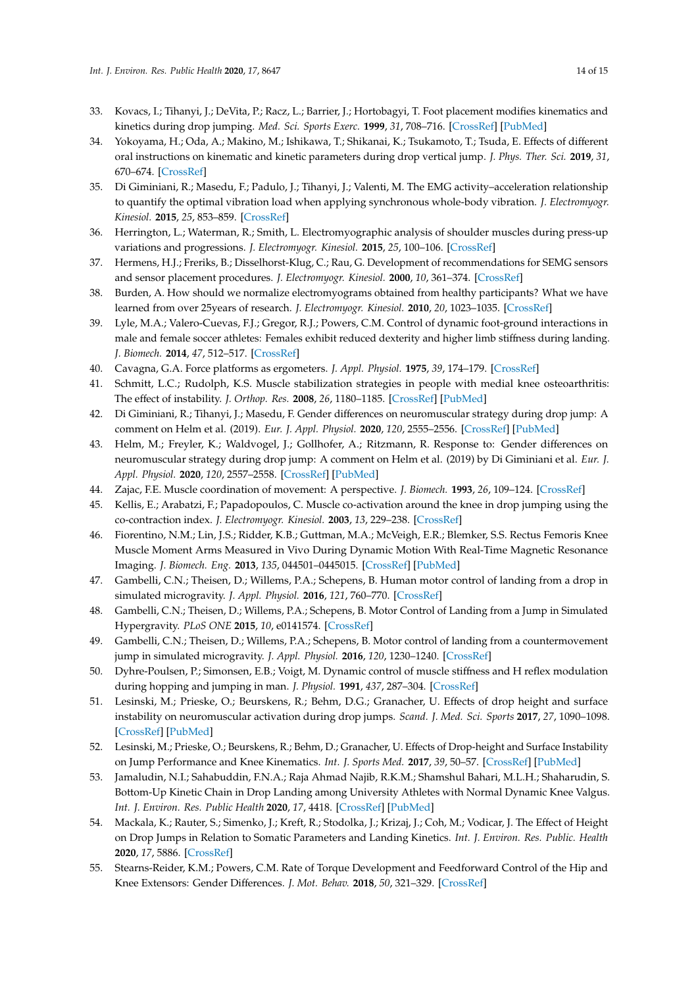- <span id="page-13-0"></span>33. Kovacs, I.; Tihanyi, J.; DeVita, P.; Racz, L.; Barrier, J.; Hortobagyi, T. Foot placement modifies kinematics and kinetics during drop jumping. *Med. Sci. Sports Exerc.* **1999**, *31*, 708–716. [\[CrossRef\]](http://dx.doi.org/10.1097/00005768-199905000-00014) [\[PubMed\]](http://www.ncbi.nlm.nih.gov/pubmed/10331892)
- <span id="page-13-1"></span>34. Yokoyama, H.; Oda, A.; Makino, M.; Ishikawa, T.; Shikanai, K.; Tsukamoto, T.; Tsuda, E. Effects of different oral instructions on kinematic and kinetic parameters during drop vertical jump. *J. Phys. Ther. Sci.* **2019**, *31*, 670–674. [\[CrossRef\]](http://dx.doi.org/10.1589/jpts.31.670)
- <span id="page-13-2"></span>35. Di Giminiani, R.; Masedu, F.; Padulo, J.; Tihanyi, J.; Valenti, M. The EMG activity–acceleration relationship to quantify the optimal vibration load when applying synchronous whole-body vibration. *J. Electromyogr. Kinesiol.* **2015**, *25*, 853–859. [\[CrossRef\]](http://dx.doi.org/10.1016/j.jelekin.2015.09.004)
- <span id="page-13-3"></span>36. Herrington, L.; Waterman, R.; Smith, L. Electromyographic analysis of shoulder muscles during press-up variations and progressions. *J. Electromyogr. Kinesiol.* **2015**, *25*, 100–106. [\[CrossRef\]](http://dx.doi.org/10.1016/j.jelekin.2014.10.002)
- <span id="page-13-4"></span>37. Hermens, H.J.; Freriks, B.; Disselhorst-Klug, C.; Rau, G. Development of recommendations for SEMG sensors and sensor placement procedures. *J. Electromyogr. Kinesiol.* **2000**, *10*, 361–374. [\[CrossRef\]](http://dx.doi.org/10.1016/S1050-6411(00)00027-4)
- <span id="page-13-5"></span>38. Burden, A. How should we normalize electromyograms obtained from healthy participants? What we have learned from over 25years of research. *J. Electromyogr. Kinesiol.* **2010**, *20*, 1023–1035. [\[CrossRef\]](http://dx.doi.org/10.1016/j.jelekin.2010.07.004)
- <span id="page-13-6"></span>39. Lyle, M.A.; Valero-Cuevas, F.J.; Gregor, R.J.; Powers, C.M. Control of dynamic foot-ground interactions in male and female soccer athletes: Females exhibit reduced dexterity and higher limb stiffness during landing. *J. Biomech.* **2014**, *47*, 512–517. [\[CrossRef\]](http://dx.doi.org/10.1016/j.jbiomech.2013.10.038)
- <span id="page-13-7"></span>40. Cavagna, G.A. Force platforms as ergometers. *J. Appl. Physiol.* **1975**, *39*, 174–179. [\[CrossRef\]](http://dx.doi.org/10.1152/jappl.1975.39.1.174)
- <span id="page-13-8"></span>41. Schmitt, L.C.; Rudolph, K.S. Muscle stabilization strategies in people with medial knee osteoarthritis: The effect of instability. *J. Orthop. Res.* **2008**, *26*, 1180–1185. [\[CrossRef\]](http://dx.doi.org/10.1002/jor.20619) [\[PubMed\]](http://www.ncbi.nlm.nih.gov/pubmed/18404657)
- <span id="page-13-9"></span>42. Di Giminiani, R.; Tihanyi, J.; Masedu, F. Gender differences on neuromuscular strategy during drop jump: A comment on Helm et al. (2019). *Eur. J. Appl. Physiol.* **2020**, *120*, 2555–2556. [\[CrossRef\]](http://dx.doi.org/10.1007/s00421-020-04465-8) [\[PubMed\]](http://www.ncbi.nlm.nih.gov/pubmed/32772247)
- <span id="page-13-10"></span>43. Helm, M.; Freyler, K.; Waldvogel, J.; Gollhofer, A.; Ritzmann, R. Response to: Gender differences on neuromuscular strategy during drop jump: A comment on Helm et al. (2019) by Di Giminiani et al. *Eur. J. Appl. Physiol.* **2020**, *120*, 2557–2558. [\[CrossRef\]](http://dx.doi.org/10.1007/s00421-020-04460-z) [\[PubMed\]](http://www.ncbi.nlm.nih.gov/pubmed/32772248)
- <span id="page-13-11"></span>44. Zajac, F.E. Muscle coordination of movement: A perspective. *J. Biomech.* **1993**, *26*, 109–124. [\[CrossRef\]](http://dx.doi.org/10.1016/0021-9290(93)90083-Q)
- <span id="page-13-12"></span>45. Kellis, E.; Arabatzi, F.; Papadopoulos, C. Muscle co-activation around the knee in drop jumping using the co-contraction index. *J. Electromyogr. Kinesiol.* **2003**, *13*, 229–238. [\[CrossRef\]](http://dx.doi.org/10.1016/S1050-6411(03)00020-8)
- <span id="page-13-13"></span>46. Fiorentino, N.M.; Lin, J.S.; Ridder, K.B.; Guttman, M.A.; McVeigh, E.R.; Blemker, S.S. Rectus Femoris Knee Muscle Moment Arms Measured in Vivo During Dynamic Motion With Real-Time Magnetic Resonance Imaging. *J. Biomech. Eng.* **2013**, *135*, 044501–0445015. [\[CrossRef\]](http://dx.doi.org/10.1115/1.4023523) [\[PubMed\]](http://www.ncbi.nlm.nih.gov/pubmed/24231903)
- <span id="page-13-14"></span>47. Gambelli, C.N.; Theisen, D.; Willems, P.A.; Schepens, B. Human motor control of landing from a drop in simulated microgravity. *J. Appl. Physiol.* **2016**, *121*, 760–770. [\[CrossRef\]](http://dx.doi.org/10.1152/japplphysiol.00305.2016)
- 48. Gambelli, C.N.; Theisen, D.; Willems, P.A.; Schepens, B. Motor Control of Landing from a Jump in Simulated Hypergravity. *PLoS ONE* **2015**, *10*, e0141574. [\[CrossRef\]](http://dx.doi.org/10.1371/journal.pone.0141574)
- <span id="page-13-15"></span>49. Gambelli, C.N.; Theisen, D.; Willems, P.A.; Schepens, B. Motor control of landing from a countermovement jump in simulated microgravity. *J. Appl. Physiol.* **2016**, *120*, 1230–1240. [\[CrossRef\]](http://dx.doi.org/10.1152/japplphysiol.00993.2015)
- <span id="page-13-16"></span>50. Dyhre-Poulsen, P.; Simonsen, E.B.; Voigt, M. Dynamic control of muscle stiffness and H reflex modulation during hopping and jumping in man. *J. Physiol.* **1991**, *437*, 287–304. [\[CrossRef\]](http://dx.doi.org/10.1113/jphysiol.1991.sp018596)
- <span id="page-13-17"></span>51. Lesinski, M.; Prieske, O.; Beurskens, R.; Behm, D.G.; Granacher, U. Effects of drop height and surface instability on neuromuscular activation during drop jumps. *Scand. J. Med. Sci. Sports* **2017**, *27*, 1090–1098. [\[CrossRef\]](http://dx.doi.org/10.1111/sms.12732) [\[PubMed\]](http://www.ncbi.nlm.nih.gov/pubmed/27460831)
- <span id="page-13-18"></span>52. Lesinski, M.; Prieske, O.; Beurskens, R.; Behm, D.; Granacher, U. Effects of Drop-height and Surface Instability on Jump Performance and Knee Kinematics. *Int. J. Sports Med.* **2017**, *39*, 50–57. [\[CrossRef\]](http://dx.doi.org/10.1055/s-0043-117610) [\[PubMed\]](http://www.ncbi.nlm.nih.gov/pubmed/29121680)
- <span id="page-13-19"></span>53. Jamaludin, N.I.; Sahabuddin, F.N.A.; Raja Ahmad Najib, R.K.M.; Shamshul Bahari, M.L.H.; Shaharudin, S. Bottom-Up Kinetic Chain in Drop Landing among University Athletes with Normal Dynamic Knee Valgus. *Int. J. Environ. Res. Public Health* **2020**, *17*, 4418. [\[CrossRef\]](http://dx.doi.org/10.3390/ijerph17124418) [\[PubMed\]](http://www.ncbi.nlm.nih.gov/pubmed/32575511)
- <span id="page-13-20"></span>54. Mackala, K.; Rauter, S.; Simenko, J.; Kreft, R.; Stodolka, J.; Krizaj, J.; Coh, M.; Vodicar, J. The Effect of Height on Drop Jumps in Relation to Somatic Parameters and Landing Kinetics. *Int. J. Environ. Res. Public. Health* **2020**, *17*, 5886. [\[CrossRef\]](http://dx.doi.org/10.3390/ijerph17165886)
- <span id="page-13-21"></span>55. Stearns-Reider, K.M.; Powers, C.M. Rate of Torque Development and Feedforward Control of the Hip and Knee Extensors: Gender Differences. *J. Mot. Behav.* **2018**, *50*, 321–329. [\[CrossRef\]](http://dx.doi.org/10.1080/00222895.2017.1363692)